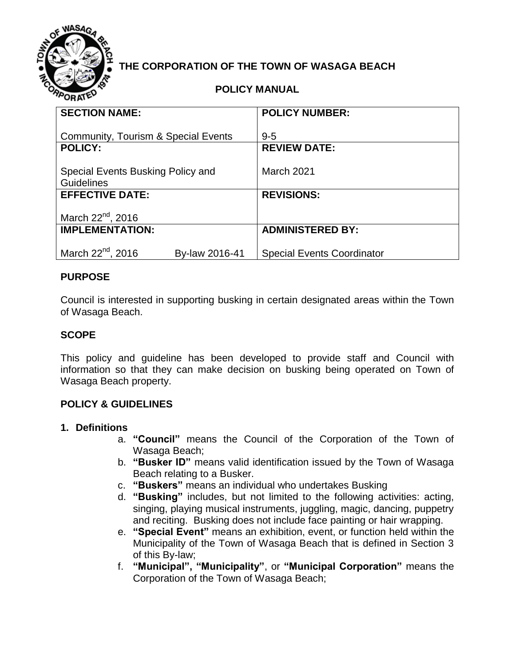

## **THE CORPORATION OF THE TOWN OF WASAGA BEACH**

#### **POLICY MANUAL**

| <b>SECTION NAME:</b>                            | <b>POLICY NUMBER:</b>             |
|-------------------------------------------------|-----------------------------------|
|                                                 |                                   |
| Community, Tourism & Special Events             | $9 - 5$                           |
| <b>POLICY:</b>                                  | <b>REVIEW DATE:</b>               |
|                                                 |                                   |
| Special Events Busking Policy and               | March 2021                        |
| <b>Guidelines</b>                               |                                   |
| <b>EFFECTIVE DATE:</b>                          | <b>REVISIONS:</b>                 |
|                                                 |                                   |
| March 22 <sup>nd</sup> , 2016                   |                                   |
|                                                 |                                   |
| <b>IMPLEMENTATION:</b>                          | <b>ADMINISTERED BY:</b>           |
|                                                 |                                   |
| March 22 <sup>nd</sup> , 2016<br>By-law 2016-41 | <b>Special Events Coordinator</b> |

#### **PURPOSE**

Council is interested in supporting busking in certain designated areas within the Town of Wasaga Beach.

#### **SCOPE**

This policy and guideline has been developed to provide staff and Council with information so that they can make decision on busking being operated on Town of Wasaga Beach property.

#### **POLICY & GUIDELINES**

#### **1. Definitions**

- a. **"Council"** means the Council of the Corporation of the Town of Wasaga Beach;
- b. **"Busker ID"** means valid identification issued by the Town of Wasaga Beach relating to a Busker.
- c. **"Buskers"** means an individual who undertakes Busking
- d. **"Busking"** includes, but not limited to the following activities: acting, singing, playing musical instruments, juggling, magic, dancing, puppetry and reciting. Busking does not include face painting or hair wrapping.
- e. **"Special Event"** means an exhibition, event, or function held within the Municipality of the Town of Wasaga Beach that is defined in Section 3 of this By-law;
- f. **"Municipal", "Municipality"**, or **"Municipal Corporation"** means the Corporation of the Town of Wasaga Beach;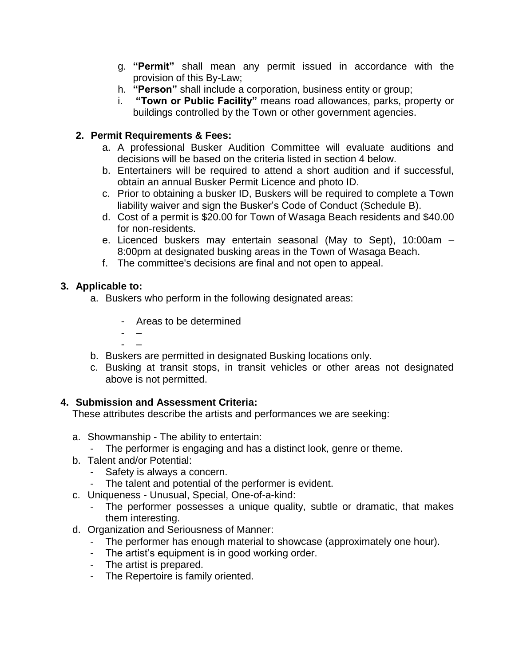- g. **"Permit"** shall mean any permit issued in accordance with the provision of this By-Law;
- h. **"Person"** shall include a corporation, business entity or group;
- i. **"Town or Public Facility"** means road allowances, parks, property or buildings controlled by the Town or other government agencies.

#### **2. Permit Requirements & Fees:**

- a. A professional Busker Audition Committee will evaluate auditions and decisions will be based on the criteria listed in section 4 below.
- b. Entertainers will be required to attend a short audition and if successful, obtain an annual Busker Permit Licence and photo ID.
- c. Prior to obtaining a busker ID, Buskers will be required to complete a Town liability waiver and sign the Busker's Code of Conduct (Schedule B).
- d. Cost of a permit is \$20.00 for Town of Wasaga Beach residents and \$40.00 for non-residents.
- e. Licenced buskers may entertain seasonal (May to Sept), 10:00am 8:00pm at designated busking areas in the Town of Wasaga Beach.
- f. The committee's decisions are final and not open to appeal.

#### **3. Applicable to:**

- a. Buskers who perform in the following designated areas:
	- Areas to be determined
	- – - –
- b. Buskers are permitted in designated Busking locations only.
- c. Busking at transit stops, in transit vehicles or other areas not designated above is not permitted.

#### **4. Submission and Assessment Criteria:**

These attributes describe the artists and performances we are seeking:

- a. Showmanship The ability to entertain:
	- The performer is engaging and has a distinct look, genre or theme.
- b. Talent and/or Potential:
	- Safety is always a concern.
- The talent and potential of the performer is evident.
- c. Uniqueness Unusual, Special, One-of-a-kind:
	- The performer possesses a unique quality, subtle or dramatic, that makes them interesting.
- d. Organization and Seriousness of Manner:
	- The performer has enough material to showcase (approximately one hour).
	- The artist's equipment is in good working order.
	- The artist is prepared.
	- The Repertoire is family oriented.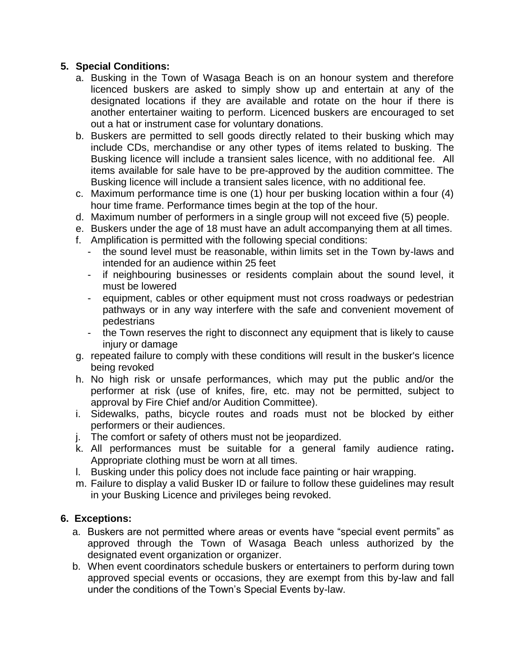#### **5. Special Conditions:**

- a. Busking in the Town of Wasaga Beach is on an honour system and therefore licenced buskers are asked to simply show up and entertain at any of the designated locations if they are available and rotate on the hour if there is another entertainer waiting to perform. Licenced buskers are encouraged to set out a hat or instrument case for voluntary donations.
- b. Buskers are permitted to sell goods directly related to their busking which may include CDs, merchandise or any other types of items related to busking. The Busking licence will include a transient sales licence, with no additional fee. All items available for sale have to be pre-approved by the audition committee. The Busking licence will include a transient sales licence, with no additional fee.
- c. Maximum performance time is one (1) hour per busking location within a four (4) hour time frame. Performance times begin at the top of the hour.
- d. Maximum number of performers in a single group will not exceed five (5) people.
- e. Buskers under the age of 18 must have an adult accompanying them at all times.
- f. Amplification is permitted with the following special conditions:
	- the sound level must be reasonable, within limits set in the Town by-laws and intended for an audience within 25 feet
	- if neighbouring businesses or residents complain about the sound level, it must be lowered
	- equipment, cables or other equipment must not cross roadways or pedestrian pathways or in any way interfere with the safe and convenient movement of pedestrians
	- the Town reserves the right to disconnect any equipment that is likely to cause injury or damage
- g. repeated failure to comply with these conditions will result in the busker's licence being revoked
- h. No high risk or unsafe performances, which may put the public and/or the performer at risk (use of knifes, fire, etc. may not be permitted, subject to approval by Fire Chief and/or Audition Committee).
- i. Sidewalks, paths, bicycle routes and roads must not be blocked by either performers or their audiences.
- j. The comfort or safety of others must not be jeopardized.
- k. All performances must be suitable for a general family audience rating**.**  Appropriate clothing must be worn at all times.
- l. Busking under this policy does not include face painting or hair wrapping.
- m. Failure to display a valid Busker ID or failure to follow these guidelines may result in your Busking Licence and privileges being revoked.

#### **6. Exceptions:**

- a. Buskers are not permitted where areas or events have "special event permits" as approved through the Town of Wasaga Beach unless authorized by the designated event organization or organizer.
- b. When event coordinators schedule buskers or entertainers to perform during town approved special events or occasions, they are exempt from this by-law and fall under the conditions of the Town's Special Events by-law.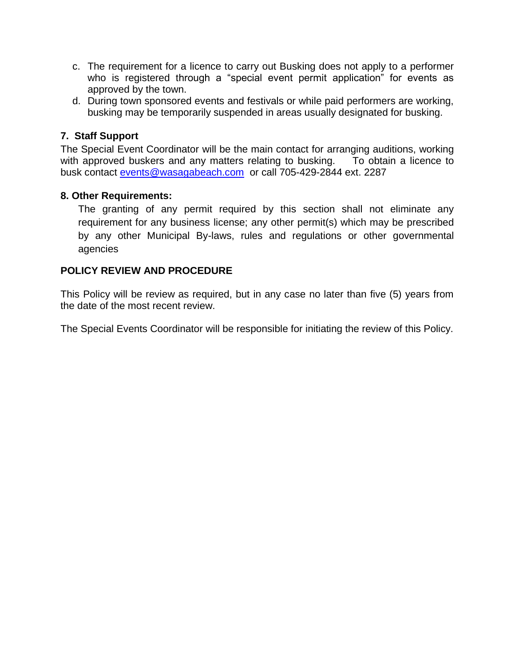- c. The requirement for a licence to carry out Busking does not apply to a performer who is registered through a "special event permit application" for events as approved by the town.
- d. During town sponsored events and festivals or while paid performers are working, busking may be temporarily suspended in areas usually designated for busking.

#### **7. Staff Support**

The Special Event Coordinator will be the main contact for arranging auditions, working with approved buskers and any matters relating to busking. To obtain a licence to busk contact [events@wasagabeach.com](mailto:events@wasagabeach.com) or call 705-429-2844 ext. 2287

#### **8. Other Requirements:**

The granting of any permit required by this section shall not eliminate any requirement for any business license; any other permit(s) which may be prescribed by any other Municipal By-laws, rules and regulations or other governmental agencies

#### **POLICY REVIEW AND PROCEDURE**

This Policy will be review as required, but in any case no later than five (5) years from the date of the most recent review.

The Special Events Coordinator will be responsible for initiating the review of this Policy.